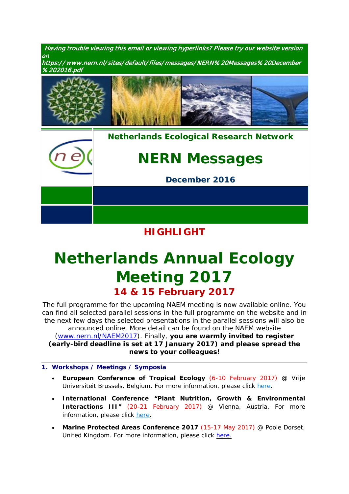Having trouble viewing this email or viewing hyperlinks? Please try our website version on https:/ / www.nern.nl/ sites/ default/ files/ messages/ NERN% 20Messages% 20December





## **HIGHLIGHT**

# *[Netherlands Annual Ecology](https://www.nern.nl/NAEM2017)  [Meeting](https://www.nern.nl/NAEM2017) 2017* **14 & 15 February 2017**

The full programme for the upcoming NAEM meeting is now available online. You can find all selected parallel sessions in the full programme on the website and in the next few days the selected presentations in the parallel sessions will also be announced online. More detail can be found on the NAEM website [\(www.nern.nl/NAEM2017\)](http://www.nern.nl/NAEM2017). Finally, **you are warmly invited to register (early-bird deadline is set at 17 January 2017) and please spread the news to your colleagues!**

- **1. Workshops / Meetings / Symposia**
	- **European Conference of Tropical Ecology** (6-10 February 2017) @ Vrije Universiteit Brussels, Belgium. For more information, please click [here.](http://www.soctropecol-2017.eu/index.php?cat=sessions)
	- **International Conference "Plant Nutrition, Growth & Environmental Interactions III"** (20-21 February 2017) @ Vienna, Austria. For more information, please click [here.](http://www.viscea.org/index.php/plant-nutrition)
	- **Marine Protected Areas Conference 2017** (15-17 May 2017) @ Poole Dorset, United Kingdom. For more information, please click [here.](http://www.pooleharbourstudygroup.org.uk/2017-conference/)